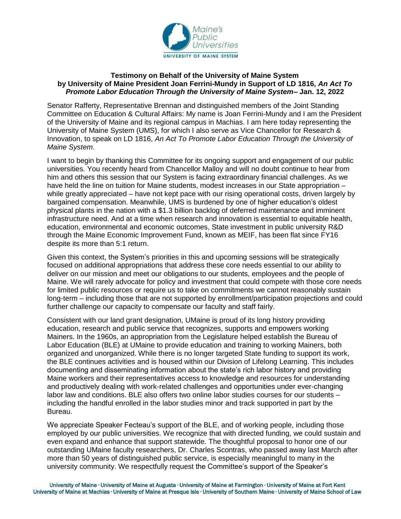

## **Testimony on Behalf of the University of Maine System by University of Maine President Joan Ferrini-Mundy in Support of LD 1816,** *An Act To Promote Labor Education Through the University of Maine System***– Jan. 12, 2022**

Senator Rafferty, Representative Brennan and distinguished members of the Joint Standing Committee on Education & Cultural Affairs: My name is Joan Ferrini-Mundy and I am the President of the University of Maine and its regional campus in Machias. I am here today representing the University of Maine System (UMS), for which I also serve as Vice Chancellor for Research & Innovation, to speak on LD 1816, *An Act To Promote Labor Education Through the University of Maine System*.

I want to begin by thanking this Committee for its ongoing support and engagement of our public universities. You recently heard from Chancellor Malloy and will no doubt continue to hear from him and others this session that our System is facing extraordinary financial challenges. As we have held the line on tuition for Maine students, modest increases in our State appropriation – while greatly appreciated – have not kept pace with our rising operational costs, driven largely by bargained compensation. Meanwhile, UMS is burdened by one of higher education's oldest physical plants in the nation with a \$1.3 billion backlog of deferred maintenance and imminent infrastructure need. And at a time when research and innovation is essential to equitable health, education, environmental and economic outcomes, State investment in public university R&D through the Maine Economic Improvement Fund, known as MEIF, has been flat since FY16 despite its more than 5:1 return.

Given this context, the System's priorities in this and upcoming sessions will be strategically focused on additional appropriations that address these core needs essential to our ability to deliver on our mission and meet our obligations to our students, employees and the people of Maine. We will rarely advocate for policy and investment that could compete with those core needs for limited public resources or require us to take on commitments we cannot reasonably sustain long-term – including those that are not supported by enrollment/participation projections and could further challenge our capacity to compensate our faculty and staff fairly.

Consistent with our land grant designation, UMaine is proud of its long history providing education, research and public service that recognizes, supports and empowers working Mainers. In the 1960s, an appropriation from the Legislature helped establish the Bureau of Labor Education (BLE) at UMaine to provide education and training to working Mainers, both organized and unorganized. While there is no longer targeted State funding to support its work, the BLE continues activities and is housed within our Division of Lifelong Learning. This includes documenting and disseminating information about the state's rich labor history and providing Maine workers and their representatives access to knowledge and resources for understanding and productively dealing with work-related challenges and opportunities under ever-changing labor law and conditions. BLE also offers two online labor studies courses for our students – including the handful enrolled in the labor studies minor and track supported in part by the Bureau.

We appreciate Speaker Fecteau's support of the BLE, and of working people, including those employed by our public universities. We recognize that with directed funding, we could sustain and even expand and enhance that support statewide. The thoughtful proposal to honor one of our outstanding UMaine faculty researchers, Dr. Charles Scontras, who passed away last March after more than 50 years of distinguished public service, is especially meaningful to many in the university community. We respectfully request the Committee's support of the Speaker's